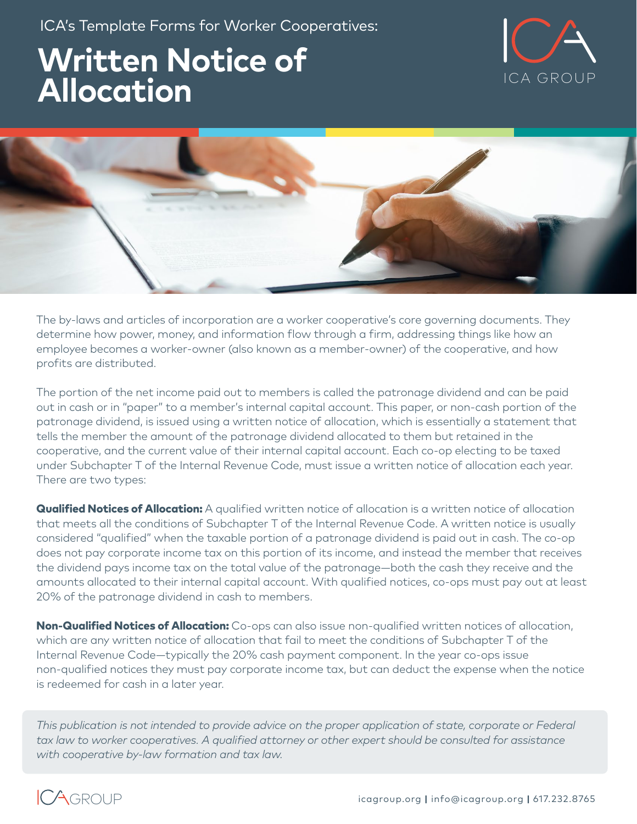ICA's Template Forms for Worker Cooperatives:

# **Written Notice of Allocation Allocation**





The by-laws and articles of incorporation are a worker cooperative's core governing documents. They determine how power, money, and information flow through a firm, addressing things like how an employee becomes a worker-owner (also known as a member-owner) of the cooperative, and how profits are distributed.

The portion of the net income paid out to members is called the patronage dividend and can be paid out in cash or in "paper" to a member's internal capital account. This paper, or non-cash portion of the patronage dividend, is issued using a written notice of allocation, which is essentially a statement that tells the member the amount of the patronage dividend allocated to them but retained in the cooperative, and the current value of their internal capital account. Each co-op electing to be taxed under Subchapter T of the Internal Revenue Code, must issue a written notice of allocation each year. There are two types:

**Qualified Notices of Allocation:** A qualified written notice of allocation is a written notice of allocation that meets all the conditions of Subchapter T of the Internal Revenue Code. A written notice is usually considered "qualified" when the taxable portion of a patronage dividend is paid out in cash. The co-op does not pay corporate income tax on this portion of its income, and instead the member that receives the dividend pays income tax on the total value of the patronage—both the cash they receive and the amounts allocated to their internal capital account. With qualified notices, co-ops must pay out at least 20% of the patronage dividend in cash to members.

Non-Qualified Notices of Allocation: Co-ops can also issue non-qualified written notices of allocation, which are any written notice of allocation that fail to meet the conditions of Subchapter T of the Internal Revenue Code—typically the 20% cash payment component. In the year co-ops issue non-qualified notices they must pay corporate income tax, but can deduct the expense when the notice is redeemed for cash in a later year.

*This publication is not intended to provide advice on the proper application of state, corporate or Federal tax law to worker cooperatives. A qualified attorney or other expert should be consulted for assistance with cooperative by-law formation and tax law.*

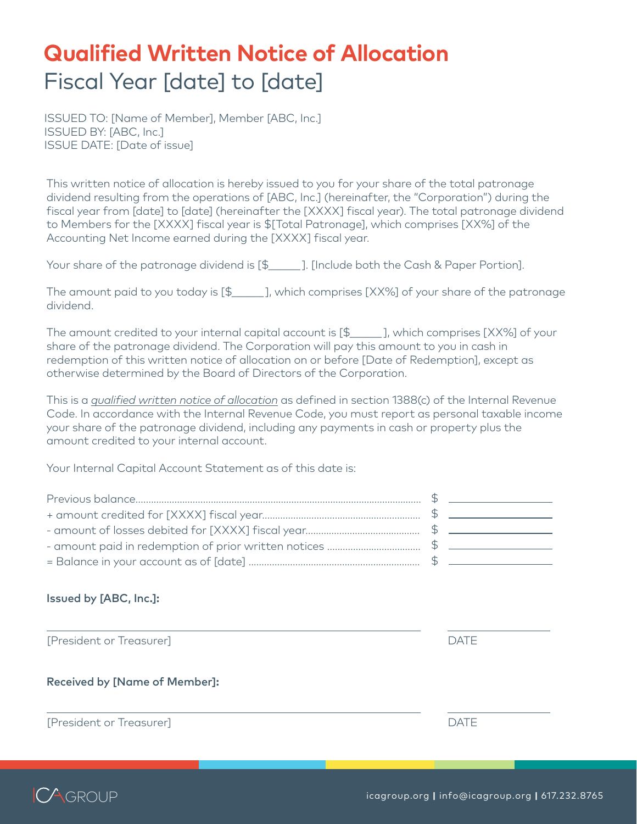## **Qualified Written Notice of Allocation**  Fiscal Year [date] to [date]

ISSUED TO: [Name of Member], Member [ABC, Inc.] ISSUED BY: [ABC, Inc.] ISSUE DATE: [Date of issue]

This written notice of allocation is hereby issued to you for your share of the total patronage dividend resulting from the operations of [ABC, Inc.] (hereinafter, the "Corporation") during the fiscal year from [date] to [date] (hereinafter the [XXXX] fiscal year). The total patronage dividend to Members for the [XXXX] fiscal year is \$[Total Patronage], which comprises [XX%] of the Accounting Net Income earned during the [XXXX] fiscal year.

Your share of the patronage dividend is  $\lceil \frac{4}{3} \rceil$ . [Include both the Cash & Paper Portion].

The amount paid to you today is  $[\frac{2}{3}]$ , which comprises [XX%] of your share of the patronage dividend.

The amount credited to your internal capital account is [\$\_\_\_\_\_\_ ], which comprises [XX%] of your share of the patronage dividend. The Corporation will pay this amount to you in cash in redemption of this written notice of allocation on or before [Date of Redemption], except as otherwise determined by the Board of Directors of the Corporation.

This is a *qualified written notice of allocation* as defined in section 1388(c) of the Internal Revenue Code. In accordance with the Internal Revenue Code, you must report as personal taxable income your share of the patronage dividend, including any payments in cash or property plus the amount credited to your internal account.

Your Internal Capital Account Statement as of this date is:

#### Issued by [ABC, Inc.]:

[President or Treasurer] DATE

Received by [Name of Member]:

[President or Treasurer] DATE